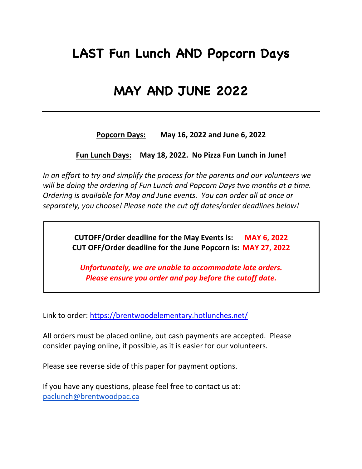# **LAST Fun Lunch AND Popcorn Days**

## **MAY AND JUNE 2022**

**Popcorn Days: May 16, 2022 and June 6, 2022**

**Fun Lunch Days: May 18, 2022. No Pizza Fun Lunch in June!** 

*In an effort to try and simplify the process for the parents and our volunteers we will be doing the ordering of Fun Lunch and Popcorn Days two months at a time. Ordering is available for May and June events. You can order all at once or separately, you choose! Please note the cut off dates/order deadlines below!*

> **CUTOFF/Order deadline for the May Events is: MAY 6, 2022 CUT OFF/Order deadline for the June Popcorn is: MAY 27, 2022**

*Unfortunately, we are unable to accommodate late orders. Please ensure you order and pay before the cutoff date.*

Link to order: https://brentwoodelementary.hotlunches.net/

All orders must be placed online, but cash payments are accepted. Please consider paying online, if possible, as it is easier for our volunteers.

Please see reverse side of this paper for payment options.

If you have any questions, please feel free to contact us at: paclunch@brentwoodpac.ca